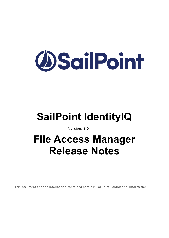# **OSailPoint**

# **SailPoint IdentityIQ**

Version: 8.0

# **File Access Manager Release Notes**

This document and the information contained herein is SailPoint Confidential Information.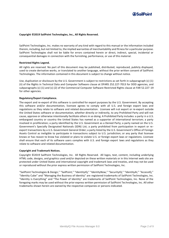

#### **Copyright ©2019 SailPoint Technologies, Inc., All Rights Reserved.**

SailPoint Technologies, Inc. makes no warranty of any kind with regard to this manual or the information included therein, including, but not limited to, the implied warranties of merchantability and fitness for a particular purpose. SailPoint Technologies shall not be liable for errors contained herein or direct, indirect, special, incidental or consequential damages in connection with the furnishing, performance, or use of this material.

#### **Restricted Rights Legend.**

All rights are reserved. No part of this document may be published, distributed, reproduced, publicly displayed, used to create derivative works, or translated to another language, without the prior written consent of SailPoint Technologies. The information contained in this document is subject to change without notice.

Use, duplication or disclosure by the U.S. Government is subject to restrictions as set forth in subparagraph (c) (1) (ii) of the Rights in Technical Data and Computer Software clause at DFARS 252.227-7013 for DOD agencies, and subparagraphs (c) (1) and (c) (2) of the Commercial Computer Software Restricted Rights clause at FAR 52.227 -19 for other agencies.

#### **Regulatory/Export Compliance.**

The export and re-export of this software is controlled for export purposes by the U.S. Government. By accepting this software and/or documentation, licensee agrees to comply with all U.S. and foreign export laws and regulations as they relate to software and related documentation. Licensee will not export or re-export outside the United States software or documentation, whether directly or indirectly, to any Prohibited Party and will not cause, approve or otherwise intentionally facilitate others in so doing. A Prohibited Party includes: a party in a U.S. embargoed country or country the United States has named as a supporter of international terrorism; a party involved in proliferation; a party identified by the U.S. Government as a Denied Party; a party named on the U.S. Government's Specially Designated Nationals (SDN) List; a party prohibited from participation in export or reexport transactions by a U.S. Government General Order; a party listed by the U.S. Government's Office of Foreign Assets Control as ineligible to participate in transactions subject to U.S. jurisdiction; or any party that licensee knows or has reason to know has violated or plans to violate U.S. or foreign export laws or regulations. Licensee shall ensure that each of its software users complies with U.S. and foreign export laws and regulations as they relate to software and related documentation.

#### **Copyright and Trademark Notices.**

Copyright ©2019 SailPoint Technologies, Inc. All Rights Reserved. All logos, text, content, including underlying HTML code, designs, and graphics used and/or depicted on these written materials or in this Internet web site are protected under United States and international copyright and trademark laws and treaties, and may not be used or reproduced without the prior express written permission of SailPoint Technologies, Inc.

"SailPoint Technologies & Design," "SailPoint," "IdentityIQ," "IdentityNow," "SecurityIQ," "IdentityAI," "AccessIQ," "Identity Cube" and "Managing the Business of Identity" are registered trademarks of SailPoint Technologies, Inc. "Identity is Everything" and "The Power of Identity" are trademarks of SailPoint Technologies, Inc. None of the foregoing marks may be used without the prior express written permission of SailPoint Technologies, Inc. All other trademarks shown herein are owned by the respective companies or persons indicated.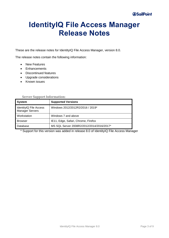# **IdentityIQ File Access Manager Release Notes**

These are the release notes for IdentityIQ File Access Manager, version 8.0.

The release notes contain the following information:

- New Features
- Enhancements
- Discontinued features
- Upgrade considerations
- Known issues

| <b>System</b>                                    | <b>Supported Versions</b>                 |
|--------------------------------------------------|-------------------------------------------|
| IdentityIQ File Access<br><b>Manager Servers</b> | Windows 2012/2012R2/2016 / 2019*          |
| Workstation                                      | Windows 7 and above                       |
| <b>Browser</b>                                   | IE11, Edge, Safari, Chrome, Firefox       |
| Database                                         | MS SQL Server 2008R2/2012/2014/2016/2017* |

#### **Server Support Information:**

\* Support for this version was added in release 8.0 of IdentityIQ File Access Manager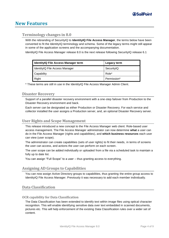# **New Features**

# **Terminology changes in 8.0**

With the rebranding of SecurityIQ to **IdentityIQ File Access Manager**, the terms below have been converted to fit the IdentityIQ terminology and schema. Some of the legacy terms might still appear in some of the application screens and the accompanying documentation.

IdentityIQ File Access Manager release 8.0 is the next release following SecurityIQ release 6.1

| <b>IdentityIQ File Access Manager term</b> | Legacy term |
|--------------------------------------------|-------------|
| IdentityIQ File Access Manager             | SecurityIQ  |
| Capability                                 | Role*       |
| Right                                      | Permission* |

\* These terms are still in use in the IdentityIQ File Access Manager Admin Client.

# **Disaster Recovery**

Support of a parallel disaster recovery environment with a one-step failover from Production to the Disaster Recovery environment and back.

Each server can be designated as either Production or Disaster Recovery. For each service and collector installed the user assigns a Production server, and, an optional Disaster Recovery server.

# **User Rights and Scope Management**

This release introduced a new concept to the File Access Manager web client: Role-based user access management. The File Access Manager administrator can now determine **what** a user can do in the File Access Manager (rights and capabilities), and **which business resources** each user can view (user scope).

The administrator can create capabilities (sets of user rights) to fit their needs, in terms of screens the user can access, and actions the user can perform on each screen.

The user scope can be added individually or uploaded from a file via a scheduled task to maintain a fully up to date list.

You can assign "Full Scope" to a user – thus granting access to everything.

# **Assigning AD Groups to Capabilities**

You can now assign Active Directory groups to capabilities, thus granting the entire group access to IdentityIQ File Access Manager. Previously it was necessary to add each member individually.

# **Data Classification**

#### **OCR capability for Data Classification**

The Data Classification has been extended to identify text within image files using optical character recognition. This will enable identifying sensitive data over text embedded in scanned documents, pictures etc. This will help enforcement of the existing Data Classification rules over a wider set of content.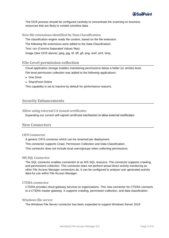

The OCR process should be configured carefully to concentrate the scanning on business resources that are likely to contain sensitive data.

**New file extensions identified by Data Classification**

The classification engine reads file content, based on the file extension. The following file extensions were added to the Data Classification: Text: csv (Comma Separated Values files) Image (See OCR above): jpeg, jpg, tif, tiff, gif, png, wmf, emf, bmp,

# **File-Level permission collection**

Cloud application storage enables maintaining permissions below a folder (or similar) level. File level permission collection was added to the following applications:

- ◆ One Drive
- <sup>⧫</sup> SharePoint Online

This capability is set to inactive by default for performance reasons.

# **Security Enhancements**

**Allow using external CA issued certificates**

Expanding our current self-signed certificate mechanism to allow external certificates.

# **New Connectors**

#### **CIFS Connector**

A generic CIFS connector which can be renamed per deployment.

This connector supports Crawl, Permission Collection and Data Classification.

This connector does not include local users/groups when collecting permissions.

#### **MS SQL Connector**

The SQL connector enables connection to an MS SQL resource. The connector supports crawling, and permissions collection. This connector does not perform actual direct activity monitoring as other File Access Manager connectors do. It can be configured to analyze user generated activity data for use within File Access Manager.

#### **CTERA connector**

CTERA provides cloud gateway services to organizations. This new connector for CTERA connects to a CTERA master gateway. It supports crawling, permission collection, and data classification.

### **Windows file server**

The Windows File Server connector has been expanded to support Windows Server 2019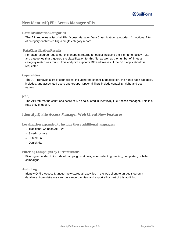# **New IdentityIQ File Access Manager APIs**

# **DataClassificationCategories**

The API retrieves a list of all File Access Manager Data Classification categories. An optional filter of category enables calling a single category record.

### **DataClassificationResults**

For each resource requested, this endpoint returns an object including the file name, policy, rule, and categories that triggered the classification for this file, as well as the number of times a category match was found. This endpoint supports DFS addresses, if the DFS applicationId is requested.

### **Capabilities**

The API retrieves a list of capabilities, including the capability description, the rights each capability includes, and associated users and groups. Optional filters include capability, right, and user names.

#### **KPIs**

The API returns the count and score of KPIs calculated in IdentityIQ File Access Manager. This is a read only endpoint.

# **IdentityIQ File Access Manager Web Client New Features**

**Localization expanded to include these additional languages:**

- ◆ Traditional Chinese/ZH-TW
- ◆ Swedish/sv-se
- <sup>⧫</sup> Dutch/nl-nl
- <sup>⧫</sup> Danish/da

### **Filtering Campaigns by current status**

Filtering expanded to include all campaign statuses, when selecting running, completed, or failed campaigns.

#### **Audit Log**

IdentityIQ File Access Manager now stores all activities in the web client to an audit log on a database. Administrators can run a report to view and export all or part of this audit log.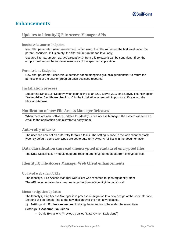# **Enhancements**

# **Updates to IdentityIQ File Access Manager APIs**

### **businessResource Endpoint**

New filter parameter: *parentResourceId*. When used, the filter will return the first level under the parentResouceId. If it is empty, the filter will return the top level only.

Updated filter parameter: *parentApplicationID*. from this release it can be sent alone. If so, the endpoint will return the top-level resources of the specified application.

### **Permissions Endpoint**

New filter parameter: userUniqueIdentifier added alongside groupUniqueIdentifier to return the permissions of the user or group on each business resource.

# **Installation process**

Supporting Strict CLR Security when connecting to an SQL Server 2017 and above. The new option **"Assemblies Certificate checkbox"** in the installation screen will import a certificate into the Master database.

# **Notification of new File Access Manager Releases**

When there are new software updates for IdentityIQ File Access Manager, the system will send an email to the application administrator to notify them.

# **Auto-retry of tasks**

The user can now set an auto-retry for failed tasks. The setting is done in the web client per task type. By default, some task types are set to auto retry twice. A full list is in the documentation.

# **Data Classification can read unencrypted metadata of encrypted files**

The Data Classification module supports reading unencrypted metadata from encrypted files.

# **IdentityIQ File Access Manager Web Client enhancements**

#### **Updated web client URLs**

The IdentityIQ File Access Manager web client was renamed to: [server]/identityiqfam The API documentation has been renamed to: [server]/identityiqfamapi/docs/

#### **Menu navigation updates**

The IdentityIQ File Access Manager is in process of migration to a new design of the user interface. Screens will be transferring to the new design over the next few releases.

#### 1) **Settings** → **\* Exclusions menus**: Unifying these menus to be under the menu item

# **Settings** → **Account Exclusions**

▪ Goals Exclusions (Previously called "Data Owner Exclusions")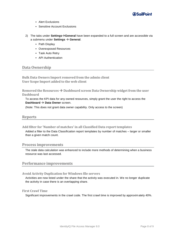

- Alert Exclusions
- **Sensitive Account Exclusions**
- 2) The tabs under **Settings**→**General** have been expanded to a full screen and are accessible via a submenu under **Settings** → **General**.
	- Path Display
	- Overexposed Resources
	- Task Auto Retry
	- **API Authentication**

# **Data Ownership**

**Bulk Data Owners Import removed from the admin client User Scope Import added to the web client**

**Removed the Resources** → **Dashboard screen Data Ownership widget from the user Dashboard**

To access the KPI data for any owned resources, simply grant the user the right to access the **Dashboard** → **Data Owner** screen.

(Note: This does not grant data owner capability. Only access to the screen)

# **Reports**

**Add filter for 'Number of matches' in all Classified Data report templates**

Added a filter to the Data Classification report templates by number of matches – larger or smaller than a given match count.

# **Process improvements**

The stale data calculation was enhanced to include more methods of determining when a business resource was last accessed.

# **Performance improvements**

#### **Avoid Activity Duplication for Windows file servers**

Activities are now listed under the share that the activity was executed in. We no longer duplicate the activity in case there is an overlapping share.

# **First Crawl Time**

Significant improvements in the crawl code. The first crawl time is improved by approximately 40%.